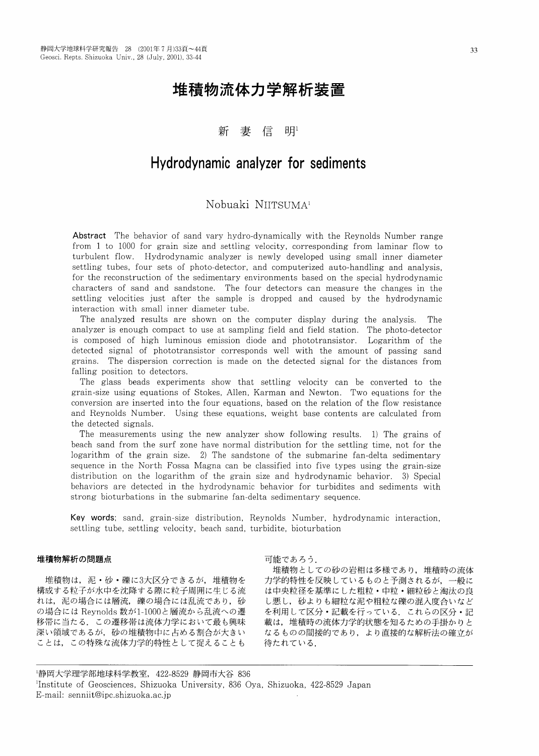# 堆積物流体力学解析装置

# 信 明1

# Hydrodynamic analyzer for sediments

# Nobuaki NIITSUMAl

Abstract The behavior of sand vary hydro-dynamically with the Reynolds Number range from 1 to 1000 for grain size and settling velocity, corresponding from laminar flow to turbulent flow. Hydrodynamic analyzer is newly developed using small inner diameter settling tubes, four sets of photo-detector, and computerized auto-handling and analysis, for the reconstruction of the sedimentary environments based on the special hydrodynamic characters of sand and sandstone. The four detectors can measure the changes in the settling velocities just after the sample is dropped and caused by the hydrodynamic interaction with small inner diameter tube.

The analyzed results are shown on the computer display during the analysis. The analyzer is enough compact to use at sampling field and field station. The photo-detector is composed of high luminous emission diode and phototransistor. Logarithm of the detected signal of phototransistor corresponds well with the amount of passing sand grains.The dispersion correctionis made on the detected signal for the distances from falling position to detectors.

The glass beads experiments show that settling velocity can be converted to the grain-Size using equations of Stokes,Allen,Karman and Newton.Two equations for the conversion are inserted into the four equations, based on the relation of the flow resistance and Reynolds Number. Using these equations, weight base contents are calculated from the detected signals.

The measurements using the new analyzer show following results. 1) The grains of beach sand from the surf zone have normal distribution for the settling time, not for the logarithm of the grain size. 2) The sandstone of the submarine fan-delta sedimentary sequence in the North Fossa Magna can be classified into five types using the grain-size distribution on the logarithm of the grain size and hydrodynamic behavior. 3) Special behaviors are detectedin the hydrodynamic behavior for turbidites and sediments with strong bioturbations in the submarine fan-delta sedimentary sequence.

Key words; sand, grain-size distribution, Reynolds Number, hydrodynamic interaction, settling tube, settling velocity, beach sand, turbidite, bioturbation

#### 堆積物解析の問題点

堆積物は,泥・砂・礫に3大区分できるが,堆積物を 構成する粒子が水中を沈降する際に粒子周囲に年じる流 れは,泥の場合には層流,礫の場合には乱流であり,砂 の場合にはReynolds数が1-1000と層流から乱流への遷 移帯に当たる.この遷移帯は流体力学において最も興味 深い領域であるが,砂の堆積物中に占める割合が大きい ことは,この特殊な流体力学的特性として捉えることも

可能であろう.

堆積物としての砂の岩相は多様であり,堆積時の流体 力学的特性を反映しているものと予測されるが,一般に は中央粒径を基準にした粗粒・中粒・細粒砂と淘汰の良 し悪し,砂よりも細粒な泥や粗粒な礫の混入度合いなど を利用して区分・記載を行っている.これらの区分・記 載は,堆積時の流体力学的状態を知るための手掛かりと なるものの間接的であり,より直接的な解析法の確立が 待たれている.

'静岡大学理学部地球科学教室,422-8529 静岡市大谷 836 <sup>1</sup>Institute of Geosciences, Shizuoka University, 836 Oya, Shizuoka, 422-8529 Japan E-mail: senniit@ipc.shizuoka.ac.jp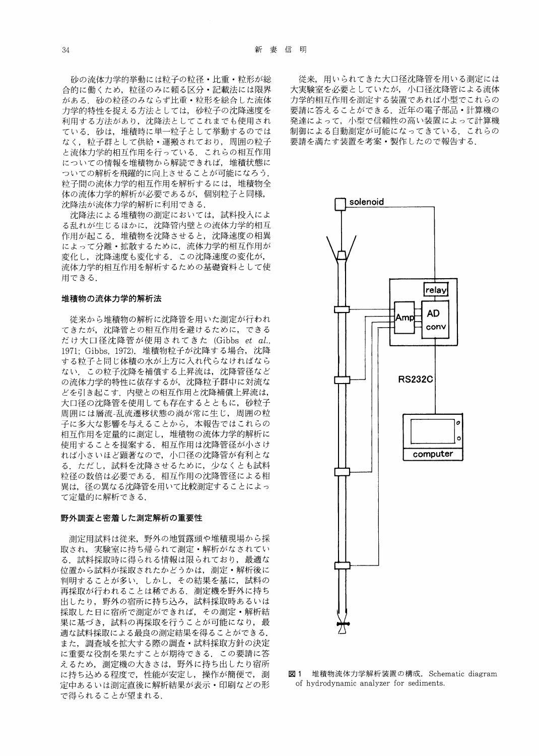砂の流体力学的挙動には粒子の粒径・比重・粒形が総 合的に働くため,粒径のみに頼る区分・記載法には限界 がある.砂の粒径のみならず比重・粒形を総合した流体 力学的特性を捉える方法としては,砂粒子の沈降速度を 利用する方法があり,沈降法としてこれまでも使用され ている.砂は,堆積時に単一粒子として挙動するのでは なく,粒子群として供給・運搬されており,周囲の粒子 と流体力学的相互作用を行っている.これらの相互作用 についての情報を堆積物から解読できれば,堆積状態に ついての解析を飛躍的に向上させることが可能になろう. 粒子間の流体力学的相互作用を解析するには,堆積物全 体の流体力学的解析が必要であるが,個別粒子と同様, 沈降法が流体力学的解析に利用できる.

沈降法による堆積物の測定においては,試料投入によ る乱れが生じるほかに,沈降管内壁との流体力学的相互 作用が起こる.堆積物を沈降させると,沈降速度の相異 によって分離・拡散するために,流体力学的相互作用が 変化し,沈降速度も変化する.この沈降速度の変化が, 流体力学的相互作用を解析するための基礎資料として使 用できる.

## 堆積物の流体力学的解析法

従来から堆積物の解析に沈降管を用いた測定が行われ てきたが,沈降管との相互作用を避けるために,できる だけ大口径沈降管が使用されてきた(Gibbs et al., 1971;Gibbs,1972).堆積物粒子が沈降する場合,沈降 する粒子と同じ体積の水が上方に入れ代らなければなら ない.この粒子沈降を補償する上昇流は,沈降管径など の流体力学的特性に依存するが,沈降粒子群中に対流な どを引き起こす.内壁との相互作用と沈降補償上昇流は, 大口径の沈降管を使用しても存在するとともに,砂粒子 周囲には層流一乱流遷移状態の渦が常に生じ,周囲の粒 子に多大な影響を与えることから,本報告ではこれらの 相互作用を定量的に測定し,堆積物の流体力学的解析に 使用することを提案する.相互作用は沈降管径が小さけ れば小さいほど顕著なので,小口径の沈降管が有利とな る.ただし,試料を沈降させるために,少なくとも試料 粒径の数倍は必要である.相互作用の沈降管径による相 異は,径の異なる沈降管を用いて比較測定することによっ て定量的に解析できる.

# 野外調査と密着した測定解析の重要性

測定用試料は従来, 野外の地質露頭や堆積現場から採 取され,実験室に持ち帰られて測定・解析がなされてい る. 試料採取時に得られる情報は限られており、最適な 位置から試料が採取されたかどうかは,測定・解析後に 判明することが多い.しかし,その結果を基に,試料の 再採取が行われることは稀である.測定機を野外に持ち 出したり,野外の宿所に持ち込み,試料採取時あるいは 採取した日に宿所で測定ができれば,その測定・解析結 果に基づき,試料の再採取を行うことが可能になり,最 適な試料採取による最良の測定結果を得ることができる. また,調査域を拡大する際の調査・試料採取方針の決定 に重要な役割を果たすことが期待できる.この要請に答 えるため,測定機の大きさは,野外に持ち出したり宿所 に持ち込める程度で,性能が安定し,操作が簡便で,測 定中あるいは測定直後に解析結果が表示・印刷などの形 で得られることが望まれる.

従来,用いられてきた大口径沈降管を用いる測定には 大実験室を必要としていたが,小口径沈降管による流体 力学的相互作用を測定する装置であれば小型でこれらの 要請に答えることができる.近年の電子部品・計算機の 発達によって,小型で信頼性の高い装置によって計算機 制御による自動測定が可能になってきている. これらの 要請を満たす装置を考案・製作したので報告する.



図1 堆積物流体力学解析装置の構成.Schematic diagram of hydrodynamic analyzer for sediments.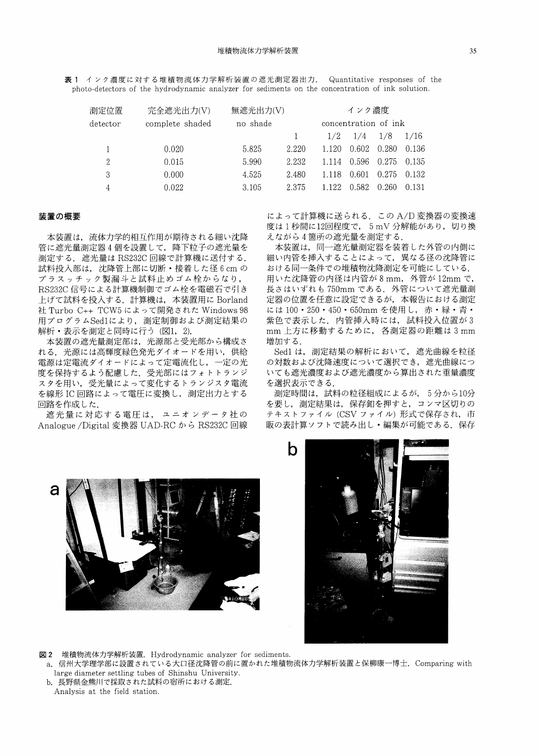表1イ ンク濃度に対する堆積物流体力学解析装置の遮光測定器出力. Quantitative responses of the photo-detectors of the hydrodynamic analyzer for sediments on the concentration ofink solution.

| 完全遮光出力(V)       |          | インク濃度                |          |       |       |       |
|-----------------|----------|----------------------|----------|-------|-------|-------|
| complete shaded | no shade | concentration of ink |          |       |       |       |
|                 |          |                      | 1/2      | 1/4   | 1/8   | 1/16  |
| 0.020           | 5.825    | 2.220                | 1.120    | 0.602 | 0.280 | 0.136 |
| 0.015           | 5.990    | 2.232                | 1 1 1 4  | 0.596 | 0.275 | 0.135 |
| 0.000           | 4.525    | 2.480                | 1 1 1 8  | 0.601 | 0.275 | 0.132 |
| 0.022           | 3.105    | 2.375                | 1.122    | 0.582 | 0.260 | 0.131 |
|                 |          |                      | 無遮光出力(V) |       |       |       |

#### 装置の概要

本装置は,流体力学的相互作用が期待される細い沈降 管に遮光量測定器4個を設置して,降下粒子の遮光量を 測定する.遮光量はRS232C回線で計算機に送付する. 試料投入部は, 沈降管上部に切断·接着した径6cmの プラスッチック製漏斗と試料止めゴム栓からなり, RS232C信号による計算機制御でゴム栓を電磁石で引き 上げて試料を投入する.計算機は,本装置用にBorland 社 Turbo C++ TCW5 によって開発された Windows 98 用プログラムSedlにより,測定制御および測定結果の 解析・表示を測定と同時に行う (図1, 2).

本装置の遮光量測定部は,光源部と受光部から構成さ れる.光源には高輝度緑色発光ダイオードを用い,供給 電源は定電流ダイオードによって定電流化し,一定の光 度を保持するよう配慮した.受光部にはフォトトランジ スタを用い,受光量によって変化するトランジスタ電流 を線形IC回路によって電圧に変換し、測定出力とする 回路を作成した.

遮光量に対応する電圧は,ユニオンデータ社の Analogue/Digital変換器UAD-RCからRS232C回線

によって計算機に送られる. この A/D 変換器の変換速 度は1秒間に12回程度で, 5mV 分解能があり, 切り換 えながら4箇所の遮光量を測定する.

本装置は,同一遮光量測定器を装着した外管の内側に 細い内管を挿入することによって,異なる径の沈降管に おける同一条件での堆積物沈降測定を可能にしている. 用いた沈降管の内径は内管が8mm,外管が12mmで, 長さはいずれも750mmである. 外管について遮光量測 定器の位置を任意に設定できるが,本報告における測定 には100・250・450・650mm を使用し, 赤・緑・青・ 紫色で表示した. 内管挿入時には, 試料投入位置が3 mm上方に移動するために,各測定器の距離は3mm 増加する.

Sed1 は、測定結果の解析において、遮光曲線を粒径 の対数および沈降速度について選択でき、遮光曲線につ いても遮光濃度および遮光濃度から算出された重量濃度 を選択表示できる.

測定時間は,試料の粒径組成によるが,5分から10分 を要し,測定結果は,保存釦を押すと,コンマ区切りの テキストファイル (CSV ファイル) 形式で保存され, 市 販の表計算ソフトで読み出し·編集が可能である. 保存





図2 堆積物流体力学解析装置.Hydrodynamic analyzer for sediments.

- a. 信州大学理学部に設置されている大口径沈降管の前に置かれた堆積物流体力学解析装置と保柳康一博士. Comparing with large diameter settling tubes of Shinshu University.
- b. 長野県金熊川で採取された試料の宿所における測定. Analysis at the field station.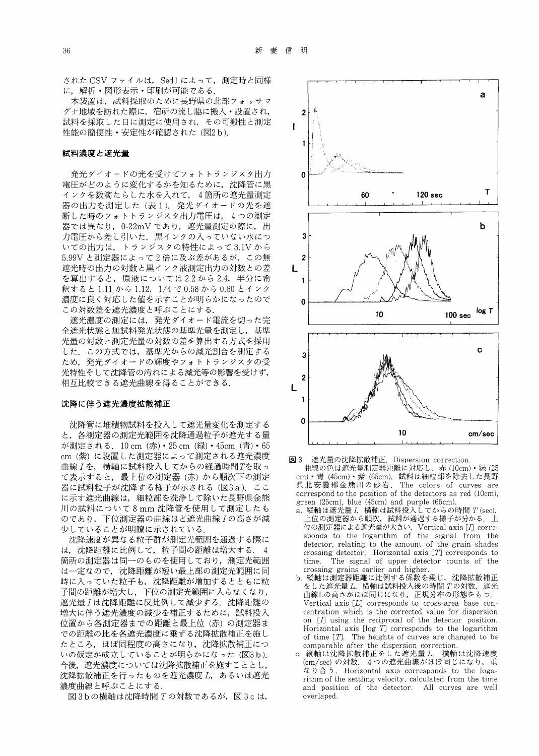された CSV ファイルは, Sed1 によって、測定時と同様 に,解析・図形表示・印刷が可能である.

本装置は,試料採取のために長野県の北部フォッサマ グナ地域を訪れた際に,宿所の流し脇に搬入・設置され, 試料を採取した日に測定に使用され,その可搬性と測定 性能の簡便性・安定性が確認された(図2b).

#### 試料濃度と遮光量

発光ダイオードの光を受けてフォトトランジスタ出力 電圧がどのように変化するかを知るために、沈降管に黒 インクを数滴たらした水を入れて,4箇所の遮光量測定 器の出力を測定した(表1).発光ダイオードの光を遮 断した時のフォトトランジスタ出力電圧は、4つの測定 器では異なり,0-22mVであり,遮光量測定の際に,出 力電圧から差し引いた.黒インクの入っていない水につ いての出力は,トランジスタの特性によって3.1Vから 5.99Vと測定器によって2倍に及ぶ差があるが,この無 遮光時の出力の対数と黒インク液測定出力の対数との差 を算出すると,原液については2.2から2.4,半分に希 釈すると1.11から1.12,1/4で0.58から0.60とインク 濃度に良く対応した値を示すことが明らかになったので この対数差を遮光濃度と呼ぶことにする.

遮光濃度の測定には,発光ダイオード電流を切った完 全遮光状態と無試料発光状態の基準光量を測定し,基準 光量の対数と測定光量の対数の差を算出する方式を採用 した.この方式では,基準光からの減光割合を測定する ため,発光ダイオードの輝度やフォトトランジスタの受 光特性そして沈降管の汚れによる減光等の影響を受けず, 相互比較できる遮光曲線を得ることができる.

#### 沈降に伴う遮光濃度拡散補正

沈降管に堆積物試料を投入して遮光量変化を測定する と,各測定器の測定光範囲を沈降通過粒子が遮光する量 が測定される.10cm(赤)・25cm(緑)・45cm(青)・65 cm(紫)に設置した測定器によって測定される遮光濃度 曲線Iを、横軸に試料投入してからの経過時間Tを取っ て表示すると、最上位の測定器(赤)から順次下の測定 器に試料粒子が沈降する様子が示される(図3a).ここ に示す遮光曲線は、細粒部を洗浄して除いた長野県金熊 川の試料について8mm沈降管を使用して測定したも のであり,下位測定器の曲線ほど遮光曲線Jの高さが減 少していることが明瞭に示されている.

沈降速度が異なる粒子群が測定光範囲を通過する際に は、沈降距離に比例して、粒子間の距離は増大する. 4 箇所の測定器は同一のものを使用しており,測定光範囲 は一定なので,沈降距離が短い最上部の測定光範囲に同 時に入っていた粒子も,沈降距離が増加するとともに粒 子問の距離が増大し,下位の測定光範囲に入らなくなり, 遮光量Jは沈降距離に反比例して減少する.沈降距離の 増大に伴う遮光濃度の減少を補正するために,試料投入 位置から各測定器までの距離と最上位(赤)の測定器ま での距離の比を各遮光濃度に乗ずる沈降拡散補正を施し たところ,ほぼ同程度の高さになり,沈降拡散補正につ いの仮定が成立していることが明らかになった (図3b). 今後,遮光濃度については沈降拡散補正を施すこととし, 沈降拡散補正を行ったものを遮光濃度L, あるいは遮光 濃度曲線と呼ぶことにする.





図3 遮光量の沈降拡散補正.Dispersion correction.

曲線の色は遮光量測定器距離に対応し,赤(10cm)・緑(25 cm)・吉(45cm)・紫(65cm).試料は細粒部を除去した長野 県北安曇郡金熊川の砂岩. The colors of curves are correspond to the position of the detectors as red (10cm), green (25cm), blue (45cm) and purple (65cm).

- a. 縦軸は遮光量  $I$ . 横軸は試料投入してからの時間  $T$ (sec). 上位の測定器から順次,試料が通過する様子が分かる.上 位の測定器による遮光量が大きい. Vertical axis [I] corresponds to the logarithm of the signal from the detector, relating to the amount of the grain shades crossing detector. Horizontal axis  $[T]$  corresponds to time. The signal of upper detector counts of the The signal of upper detector counts of the crossing grains earlier and higher.
- b.縦軸は測定器距離に比例する係数を乗じ,沈降拡散補正 をした遮光量 $L$ . 横軸は試料投入後の時間 $T$ の対数. 遮光 曲線Lの高さがほぼ同じになり,正規分布の形態をもっ. Vertical axis  $[L]$  corresponds to cross-area base concentration which is the corrected value for dispersion on  $[I]$  using the reciprocal of the detector position. Horizontal axis [ $log T$ ] corresponds to the logarithm of time  $[T]$ . The heights of curves are changed to be comparable after the dispersion correction.
- C.縦軸は沈降拡散補正をした遮光量上.横軸は沈降速度 (cm/sec)の対数.4つの遮光曲線がほぼ同じになり,重 なり合う. Horizontal axis corresponds to the logarithm of the settling velocity, calculated from the time and position of the detector. All curves are well OVerlaped.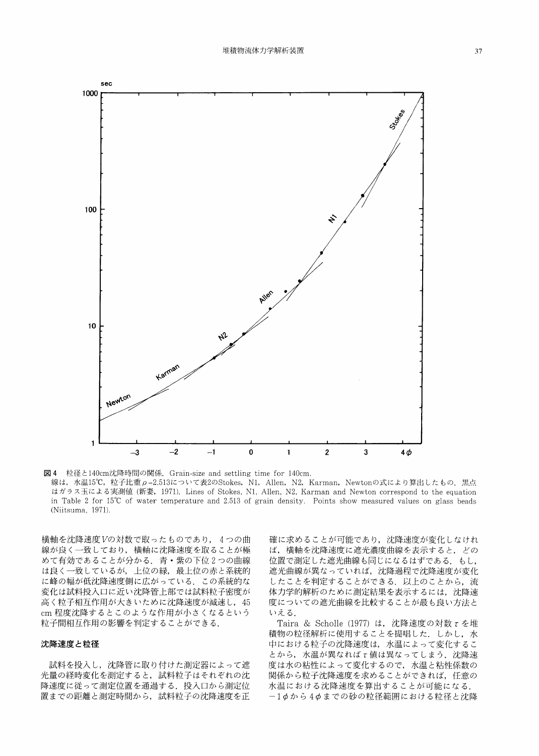

図4 粒径と140cm沈降時間の関係.Grain-Size and settling time for140cm. 線は、水温15℃,粒子比重 p=2.513について表2のStokes, N1, Allen, N2, Karman, Newtonの式により算出したもの. 黒点 はガラス玉による実測値 (新妻, 1971). Lines of Stokes, N1, Allen, N2, Karman and Newton correspond to the equation in Table 2 for 15℃ of water temperature and 2.513 of grain density. Points show measured values on glass beads (Niitsuma, 1971).

構軸を沈降速度Vの対数で取ったものであり、4つの曲 線が良く一致しており、横軸に沈降速度を取ることが極 めて有効であることが分かる. 青·紫の下位2つの曲線 は良く一致しているが,上位の縁,最上位の赤と系統的 に峰の幅が低沈降速度側に広がっている.この系統的な 変化は試料投入口に近い沈降管上部では試料粒子密度が 高く粒子相互作用が大きいために沈降速度が減速し,45 cm程度沈降するとこのような作用が小さくなるという 粒子間相互作用の影響を判定することができる.

# 沈降速度と粒径

試料を投入し,沈降管に取り付けた測定器によって遮 光量の経時変化を測定すると,試料粒子はそれぞれの沈 降速度に従って測定位置を通過する.投入口から測定位 置までの距離と測定時間から,試料粒子の沈降速度を正

確に求めることが可能であり,沈隆速度が変化しなけれ ぼ,横軸を沈降速度に遮光濃度曲線を表示すると,どの 位置で測定した遮光曲線も同じになるはずである.もし, 遮光曲線が異なっていれば,沈降過程で沈降速度が変化 したことを判定することができる. 以上のことから, 流 体力学的解析のために測定結果を表示するには,沈降速 度についての遮光曲線を比較することが最も良い方法と いえる.

Taira & Scholle (1977) は, 沈降速度の対数τを堆 積物の粒径解析に使用することを提唱した. しかし、水 中における粒子の沈降速度は,水温によって変化するこ とから,水温が異なればτ値は異なってしまう.沈降速 度は水の粘性によって変化するので,水温と粘性係数の 関係から粒子沈降速度を求めることができれば,任意の 水温における沈降速度を算出することが可能になる. -1¢から4¢までの砂の粒径範囲における粒径と沈降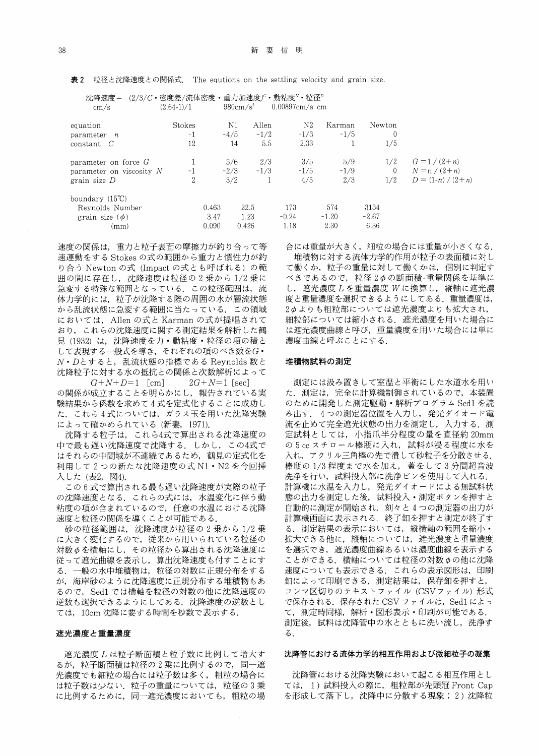表2 粒径と沈降速度との関係式. The equtions on the settling velocity and grain size.

| 沈降速度= (2/3/C・密度差/流体密度・重力加速度) <sup>c</sup> ・動粘度 <sup>x</sup> ・粒径 <sup>p</sup><br>cm/s | $(2.64-1)/1$ | $980 \text{cm/s}^2$ |        | $0.00897cm/s$ cm |         |          |                   |
|--------------------------------------------------------------------------------------|--------------|---------------------|--------|------------------|---------|----------|-------------------|
| equation                                                                             | Stokes       | N1                  | Allen  | N <sub>2</sub>   | Karman  | Newton   |                   |
| $parameter$ <i>n</i>                                                                 | $-1$         | $-4/5$              | $-1/2$ | $-1/3$           | $-1/5$  | $\theta$ |                   |
| constant $C$                                                                         | 12           | 14                  | 5.5    | 2.33             |         | 1/5      |                   |
| parameter on force G                                                                 |              | 5/6                 | 2/3    | 3/5              | 5/9     | 1/2      | $G = 1 / (2 + n)$ |
| parameter on viscosity $N$                                                           | $-1$         | $-2/3$              | $-1/3$ | $-1/5$           | $-1/9$  | $\theta$ | $N = n / (2 + n)$ |
| grain size D                                                                         | 2            | 3/2                 |        | 4/5              | 2/3     | 1/2      | $D = (1-n)/(2+n)$ |
| boundary $(15^{\circ}C)$                                                             |              |                     |        |                  |         |          |                   |
| Reynolds Number                                                                      |              | 0.463               | 22.5   | 173              | 574     | 3134     |                   |
| grain size $(\phi)$                                                                  |              | 3.47                | 1.23   | $-0.24$          | $-1.20$ | $-2.67$  |                   |
| (mm)                                                                                 |              | 0.090               | 0.426  | 1.18             | 2.30    | 6.36     |                   |

速度の関係は,重力と粒子表面の摩擦力が釣り合って等 速運動をするStokesの式の範囲から重力と慣性力が釣 り合う Newton の式(Impact の式とも呼ばれる)の範 囲の間に存在し,沈降速度は粒径の2乗から1/2乗に 急変する特殊な範囲となっている.この粒径範囲は,流 体力学的には,粒子が沈降する際の周囲の水が層流状態 から乱流状態に急変する範囲に当たっている.この領域 においては, Allen の式と Karman の式が提唱されて おり,これらの沈降速度に関する測定結果を解析した鶴 見(1932)は、沈降速度を力·動粘度·粒径の項の積と して表現する一般式を導き,それぞれの項のべき数をG・  $N \cdot D$ とすると、乱流状態の指標である Reynolds 数と 沈降粒子に対する水の抵抗との関係と次数解析によって

 $G+N+D=1$  [cm]  $2G+N=1$  [sec] の関係が成立することを明らかにし,報告されている実 験結果から係数を求めて4式を定式化することに成功し た.これら4式については,ガラス玉を用いた沈降実験 によって確かめられている(新妻,1971).

沈降する粒子は,これら4式で算出される沈降速度の 中で最も遅い沈降速度で沈降する.しかし,この4式で はそれらの中間域が不連続であるため,鶴見の定式化を 利用して2つの新たな沈降速度の式Nl・N2を今回挿 入した(表2,図4).

この6式で算出される最も遅い沈降速度が実際の粒子 の沈降速度となる.これらの式には,水温変化に伴う動 粘度の項が含まれているので,任意の水温における沈降 速度と粒径の関係を導くことが可能である.

砂の粒径範囲は,沈降速度が粒径の2乗から1/2乗 に大きく変化するので,従来から用いられている粒径の 対数 ¢ を横軸にし、その粒径から算出される沈降速度に 従って遮光曲線を表示し,算出沈降速度も付すことにす る.一般の水中堆積物は,粒径の対数に正規分布をする が,海岸砂のように沈降速度に正規分布する堆積物もあ るので, Sed1 では横軸を粒径の対数の他に沈降速度の 逆数も選択できるようにしてある.沈降速度の逆数とし ては,10cm沈降に要する時間を秒数で表示する.

## 遮光濃度と重量濃度

遮光濃度上は粒子断面積と粒子数に比例して増大す るが,粒子断面積は粒径の2乗に比例するので,同一遮 光濃度でも細粒の場合には粒子数は多く,粗粒の場合に は粒子数は少ない.粒子の重量については,粒径の3乗 に比例するために,同一遮光濃度においても,粗粒の場 合には重量が大きく,細粒の場合には重量が小さくなる. 堆積物に対する流体力学的作用が粒子の表面積に対し て働くか,粒子の重量に対して働くかば,個別に判定す  $\sim$ きであるので、粒径2 $\phi$ の断面積-重量関係を基準に し,遮光濃度上を重量濃度Ⅳに換算し,縦軸に遮光濃 度と重量濃度を選択できるようにしてある。重量濃度は, 2¢よりも粗粒部については遮光濃度よりも拡大され, 細粒部については縮小される.遮光濃度を用いた場合に は遮光濃度曲線と呼び,重量濃度を用いた場合には単に 濃度曲線と呼ぶことにする.

### 堆積物試料の測定

測定には汲み置きして室温と平衡にした水道水を用い た.測定は,完全に計算機制御されているので,本装置 のために開発した測定駆動・解析プログラム Sed1 を読 み出す.4つの測定器位置を入力し,発光ダイオード電 流を止めて完全遮光状態の出力を測定し,入力する.測 定試料としては,小指爪半分程度の量を直径約20mm の5ccスチロール棒瓶に入れ、試料が浸る程度に水を 入れ,アクリル三角棒の先で潰して砂粒子を分散させる. 棒瓶の1/3程度まで水を加え,蓋をして3分間超音波 洗浄を行い,試料投入部に洗浄ビンを使用して入れる. 計算機に水温を入力し,発光ダイオードによる無試料状 態の出力を測定した後,試料投入・測定ボタンを押すと 自動的に測定が開始され,刻々と4つの測定器の出力が 計算機画面に表示される.終了釦を押すと測定が終了す る.測定結果の表示においては,縦横軸の範囲を縮小・ 拡大できる他に,縦軸については,遮光濃度と重量濃度 を選択でき,遮光濃度曲線あるいは濃度曲線を表示する ことができる. 横軸については粒径の対数øの他に沈降 速度についても表示できる.これらの表示図形は,印刷 釦によって印刷できる. 測定結果は、保存釦を押すと, コンマ区切りのテキストファイル (CSVファイル) 形式 で保存される.保存されたCSVファイルは,Sedlによっ て,測定時同様,解析・図形表示・印刷が可能である. 測定後,試料は沈降管中の水とともに洗い流し,洗浄す る.

#### 沈降管における流体力学的相互作用および微細粒子の凝集

沈降管における沈降実験において起こる相互作用とし ては,1)試料投入の際に,粗粒部が先頭冠Front Cap を形成して落下し,沈降中に分散する現象;2)沈降粒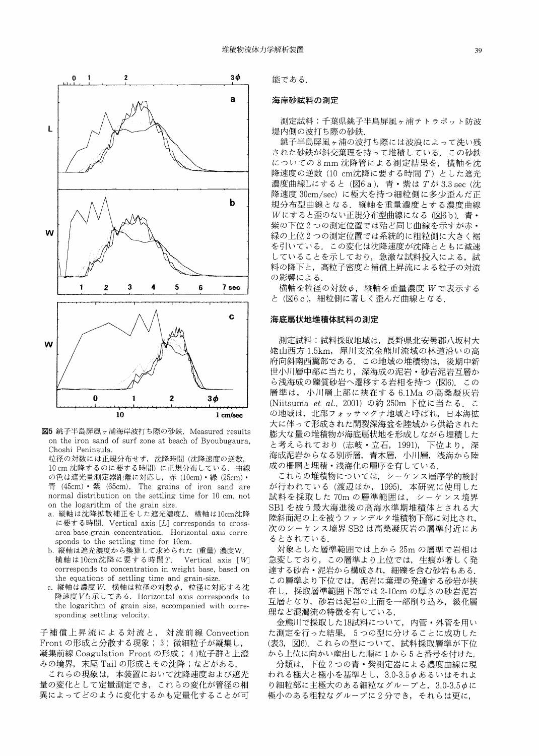

図5銚子半島屏風ヶ浦海岸波打ち際の砂鉄.Measured results on the iron sand of surf zone at beach of Byoubugaura, Choshi Peninsula.

- 粒径の対数には正規分布せず,沈降時間(沈降速度の逆数, 10cm沈降するのに要する時間)に正規分布している.曲線 の色は遮光量測定器距離に対応し、赤 (10cm) · 緑 (25cm) · 青  $(45cm)$  • 紫  $(65cm)$ . The grains of iron sand are normal distribution on the settling time for 10 cm, not on the logarithm of the grain size.
- a.縦軸は沈降拡散補正をした遮光濃度ん 横軸は10cm沈降 に要する時間. Vertical axis [L] corresponds to cross-<br>area base grain concentration. Horizontal axis corresponds to the settling time for 10cm.
- b.縦軸は遮光濃度から換算して求められた(重量)濃度W. 横軸は10cm沈降に要する時間T. Vertical axis[W] corresponds to concentration in weight base, based on the equations of settling time and grain-size.
- c. 縦軸は濃度W. 横軸は粒径の対数 ø, 粒径に対応する沈 降速度Vも示してある.Horizontal axis corresponds to the logarithm of grain size, accompanied with corresponding settling velocity.

子補償上昇流による対流と, 対流前線 Convection Frontの形成と分散する現象;3)微細粒子が凝集し, 凝集前線 Coagulation Front の形成; 4)粒子群と上澄 みの境界,末尾 Tail の形成とその沈降;などがある.

これらの現象は,本装置において沈降速度および遮光 量の変化として定量測定でき,これらの変化が管径の相 異によってどのように変化するかも定量化することが可

## 能である.

#### 海岸砂試料の測定

測定試料:千葉県銚子半島屏風ヶ浦テトラポット防波 堤内側の波打ち際の砂鉄.

銚子半島犀風ヶ浦の波打ち際には波浪によって洗い残 された砂鉄が斜交葉理を持って堆積している.この砂鉄 についての8mm沈降管による測定結果を,横軸を沈 降速度の逆数(10 cm沈降に要する時間T)とした遮光 濃度曲線Lにすると (図6 a), 青·紫は Tが 3.3 sec (沈 降速度 30cm/sec)に極大を持つ細粒側に多少歪んだ正 規分布型曲線となる.縦軸を重量濃度とする濃度曲線 Wにすると歪のない正規分布型曲線になる(図6b).青・ 紫の下位2つの測定位置では殆ど同じ曲線を示すが赤· 緑の上位2つの測定位置では系統的に粗粒側に大きく裾 を引いている.この変化は沈降速度が沈降とともに減速 していることを示しており,急激な試料投入による,試 料の降下と,高粒子密度と補償上昇流による粒子の対流 の影響による.

横軸を粒径の対数¢,縦軸を重量濃度Ⅳで表示する と(図6C),細粒側に著しく歪んだ曲線となる.

#### 海底扇状地堆積体試料の測定

測定試料:試料採取地域は,長野県北安曇郡八坂村大 姥山西方1.5km,犀川支流金熊川流域の林道沿いの高 府向斜南西翼部である.この地域の堆積物は,後期中新 世小川層中部に当たり,深海成の泥岩・砂岩泥岩互層か ら浅海成の礫質砂岩へ遷移する岩相を持つ (図6). この 層準は,小川層上部に挟在する6.1Maの高桑凝灰岩 (Niitsuma et al., 2001) の約 250m 下位に当たる. こ の地域は,北部フォッサマグナ地域と呼ばれ,日本海拡 大に伴って形成された開裂深海盆を陸域から供給された 膨大な量の堆積物が海底扇状地を形成しながら埋積した と考えられており(志岐・立石,1991),下位より,深 海成泥岩からなる別所層,青木層,小川層,浅海から陸 成の柵層と埋積・浅海化の層序を有している.

これらの堆積物については,シーケンス層序学的検討 が行われている(渡辺ほか,1995).本研究に使用した 試料を採取した70mの層準範囲は,シーケンス境界 SBlを被う最大海進後の高海水準期堆積体とされる大 陸斜面泥の上を被うファンデルタ堆積物下部に対比され, 次のシーケンス境界 SB2 は高桑凝灰岩の層準付近にあ るとされている.

対象とした層準範囲では上から25mの層準で岩相は 急変しており,この層準より上位では,生痕が著しく発 達する砂岩・泥岩から構成され,細礫を含む砂岩もある. この層準より下位では,泥岩に葉理の発達する砂岩が挟 在し,採取層準範囲下部では2-10cmの厚さの砂岩泥岩 互層となり,砂岩は泥岩の上面を一部削り込み,級化層 理など混濁流の特徴を有している.

金熊川で採取した18試料について,内管・外管を用い た測定を行った結果,5つの型に分けることに成功した (表3,図6).これらの型について,試料採取層準が下位 から上位に向かい産出した順に1から5と番号を付けた.

分類は,下位2つの青・紫測定器による濃度曲線に現 われる極大と極小を基準とし,3.0-3.5¢あるいはそれよ り細粒部に主極大のある細粒なグループと,3.0-3.5¢に 極小のある粗粒なグループに2分でき,それらは更に,